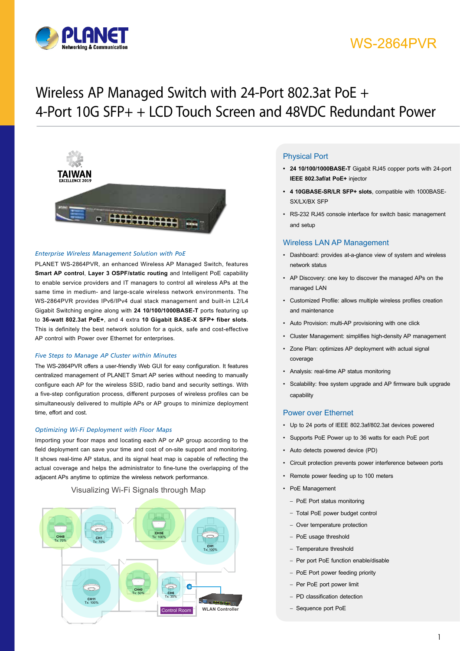

# WS-2864PVR

# Wireless AP Managed Switch with 24-Port 802.3at PoE + 4-Port 10G SFP+ + LCD Touch Screen and 48VDC Redundant Power



#### *Enterprise Wireless Management Solution with PoE*

PLANET WS-2864PVR, an enhanced Wireless AP Managed Switch, features **Smart AP control**, **Layer 3 OSPF/static routing** and Intelligent PoE capability to enable service providers and IT managers to control all wireless APs at the same time in medium- and large-scale wireless network environments. The WS-2864PVR provides IPv6/IPv4 dual stack management and built-in L2/L4 Gigabit Switching engine along with **24 10/100/1000BASE-T** ports featuring up to **36-watt 802.3at PoE+**, and 4 extra **10 Gigabit BASE-X SFP+ fiber slots**. This is definitely the best network solution for a quick, safe and cost-effective AP control with Power over Ethernet for enterprises.

#### *Five Steps to Manage AP Cluster within Minutes*

The WS-2864PVR offers a user-friendly Web GUI for easy configuration. It features centralized management of PLANET Smart AP series without needing to manually configure each AP for the wireless SSID, radio band and security settings. With a five-step configuration process, different purposes of wireless profiles can be simultaneously delivered to multiple APs or AP groups to minimize deployment time, effort and cost.

#### *Optimizing Wi-Fi Deployment with Floor Maps*

Importing your floor maps and locating each AP or AP group according to the field deployment can save your time and cost of on-site support and monitoring. It shows real-time AP status, and its signal heat map is capable of reflecting the actual coverage and helps the administrator to fine-tune the overlapping of the adjacent APs anytime to optimize the wireless network performance.

## Visualizing Wi-Fi Signals through Map



## **Physical Port**

- **• 24 10/100/1000BASE-T** Gigabit RJ45 copper ports with 24-port **IEEE 802.3af/at PoE+** injector
- **• 4 10GBASE-SR/LR SFP+ slots**, compatible with 1000BASE-SX/LX/BX SFP
- • RS-232 RJ45 console interface for switch basic management and setup

### Wireless LAN AP Management

- • Dashboard: provides at-a-glance view of system and wireless network status
- • AP Discovery: one key to discover the managed APs on the managed LAN
- • Customized Profile: allows multiple wireless profiles creation and maintenance
- • Auto Provision: multi-AP provisioning with one click
- • Cluster Management: simplifies high-density AP management
- • Zone Plan: optimizes AP deployment with actual signal coverage
- • Analysis: real-time AP status monitoring
- • Scalability: free system upgrade and AP firmware bulk upgrade capability

## Power over Ethernet

- • Up to 24 ports of IEEE 802.3af/802.3at devices powered
- • Supports PoE Power up to 36 watts for each PoE port
- • Auto detects powered device (PD)
- • Circuit protection prevents power interference between ports
- • Remote power feeding up to 100 meters
- PoE Management
	- PoE Port status monitoring
	- Total PoE power budget control
	- Over temperature protection
	- PoE usage threshold
	- Temperature threshold
	- Per port PoE function enable/disable
	- PoE Port power feeding priority
	- Per PoE port power limit
	- PD classification detection
	- Sequence port PoE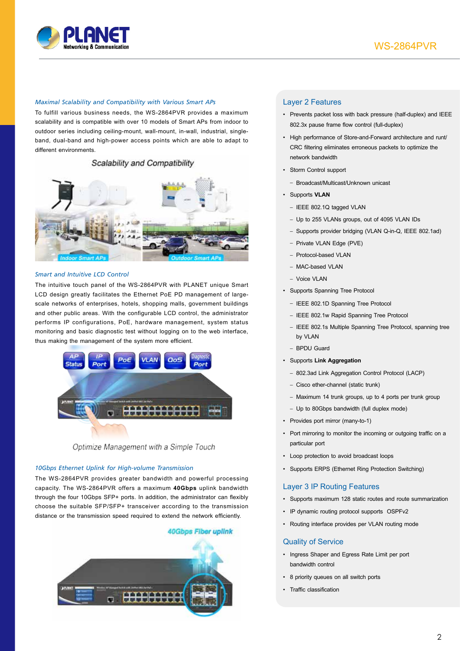

#### *Maximal Scalability and Compatibility with Various Smart APs*

To fulfill various business needs, the WS-2864PVR provides a maximum scalability and is compatible with over 10 models of Smart APs from indoor to outdoor series including ceiling-mount, wall-mount, in-wall, industrial, singleband, dual-band and high-power access points which are able to adapt to different environments.

## Scalability and Compatibility



#### *Smart and Intuitive LCD Control*

The intuitive touch panel of the WS-2864PVR with PLANET unique Smart LCD design greatly facilitates the Ethernet PoE PD management of largescale networks of enterprises, hotels, shopping malls, government buildings and other public areas. With the configurable LCD control, the administrator performs IP configurations, PoE, hardware management, system status monitoring and basic diagnostic test without logging on to the web interface, thus making the management of the system more efficient.





#### *10Gbps Ethernet Uplink for High-volume Transmission*

The WS-2864PVR provides greater bandwidth and powerful processing capacity. The WS-2864PVR offers a maximum **40Gbps** uplink bandwidth through the four 10Gbps SFP+ ports. In addition, the administrator can flexibly choose the suitable SFP/SFP+ transceiver according to the transmission distance or the transmission speed required to extend the network efficiently.



### Layer 2 Features

- • Prevents packet loss with back pressure (half-duplex) and IEEE 802.3x pause frame flow control (full-duplex)
- • High performance of Store-and-Forward architecture and runt/ CRC filtering eliminates erroneous packets to optimize the network bandwidth
- • Storm Control support
	- Broadcast/Multicast/Unknown unicast
- • Supports **VLAN**
	- IEEE 802.1Q tagged VLAN
	- Up to 255 VLANs groups, out of 4095 VLAN IDs
	- Supports provider bridging (VLAN Q-in-Q, IEEE 802.1ad)
	- Private VLAN Edge (PVE)
	- Protocol-based VLAN
	- MAC-based VLAN
	- $-$  Voice VI AN
- • Supports Spanning Tree Protocol
	- IEEE 802.1D Spanning Tree Protocol
	- IEEE 802.1w Rapid Spanning Tree Protocol
	- IEEE 802.1s Multiple Spanning Tree Protocol, spanning tree by VLAN
	- BPDU Guard
- • Supports **Link Aggregation**
	- 802.3ad Link Aggregation Control Protocol (LACP)
	- Cisco ether-channel (static trunk)
	- Maximum 14 trunk groups, up to 4 ports per trunk group
	- Up to 80Gbps bandwidth (full duplex mode)
- • Provides port mirror (many-to-1)
- Port mirroring to monitor the incoming or outgoing traffic on a particular port
- • Loop protection to avoid broadcast loops
- • Supports ERPS (Ethernet Ring Protection Switching)

## Layer 3 IP Routing Features

- • Supports maximum 128 static routes and route summarization
- • IP dynamic routing protocol supports OSPFv2
- • Routing interface provides per VLAN routing mode

#### Quality of Service

- • Ingress Shaper and Egress Rate Limit per port bandwidth control
- • 8 priority queues on all switch ports
- • Traffic classification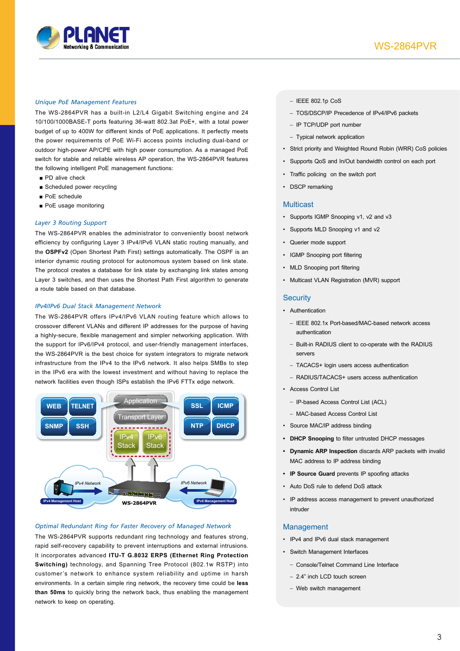

#### *Unique PoE Management Features*

The WS-2864PVR has a built-in L2/L4 Gigabit Switching engine and 24 10/100/1000BASE-T ports featuring 36-watt 802.3at PoE+, with a total power budget of up to 400W for different kinds of PoE applications. It perfectly meets the power requirements of PoE Wi-Fi access points including dual-band or outdoor high-power AP/CPE with high power consumption. As a managed PoE switch for stable and reliable wireless AP operation, the WS-2864PVR features the following intelligent PoE management functions:

- PD alive check
- Scheduled power recycling
- PoE schedule
- PoE usage monitoring

#### *Layer 3 Routing Support*

The WS-2864PVR enables the administrator to conveniently boost network efficiency by configuring Layer 3 IPv4/IPv6 VLAN static routing manually, and the **OSPFv2** (Open Shortest Path First) settings automatically. The OSPF is an interior dynamic routing protocol for autonomous system based on link state. The protocol creates a database for link state by exchanging link states among Layer 3 switches, and then uses the Shortest Path First algorithm to generate a route table based on that database.

#### *IPv4/IPv6 Dual Stack Management Network*

The WS-2864PVR offers IPv4/IPv6 VLAN routing feature which allows to crossover different VLANs and different IP addresses for the purpose of having a highly-secure, flexible management and simpler networking application. With the support for IPv6/IPv4 protocol, and user-friendly management interfaces, the WS-2864PVR is the best choice for system integrators to migrate network infrastructure from the IPv4 to the IPv6 network. It also helps SMBs to step in the IPv6 era with the lowest investment and without having to replace the network facilities even though ISPs establish the IPv6 FTTx edge network.



#### *Optimal Redundant Ring for Faster Recovery of Managed Network*

The WS-2864PVR supports redundant ring technology and features strong, rapid self-recovery capability to prevent interruptions and external intrusions. It incorporates advanced **ITU-T G.8032 ERPS (Ethernet Ring Protection Switching)** technology, and Spanning Tree Protocol (802.1w RSTP) into customer's network to enhance system reliability and uptime in harsh environments. In a certain simple ring network, the recovery time could be **less than 50ms** to quickly bring the network back, thus enabling the management network to keep on operating.

- IEEE 802.1p CoS
- TOS/DSCP/IP Precedence of IPv4/IPv6 packets
- IP TCP/UDP port number
- Typical network application
- • Strict priority and Weighted Round Robin (WRR) CoS policies
- • Supports QoS and In/Out bandwidth control on each port
- • Traffic policing on the switch port
- DSCP remarking

#### **Multicast**

- Supports IGMP Snooping v1, v2 and v3
- • Supports MLD Snooping v1 and v2
- • Querier mode support
- IGMP Snooping port filtering
- MLD Snooping port filtering
- • Multicast VLAN Registration (MVR) support

#### **Security**

- • Authentication
	- IEEE 802.1x Port-based/MAC-based network access authentication
	- Built-in RADIUS client to co-operate with the RADIUS servers
	- TACACS+ login users access authentication
	- RADIUS/TACACS+ users access authentication
- • Access Control List
	- IP-based Access Control List (ACL)
	- MAC-based Access Control List
- • Source MAC/IP address binding
- **• DHCP Snooping** to filter untrusted DHCP messages
- **• Dynamic ARP Inspection** discards ARP packets with invalid MAC address to IP address binding
- **• IP Source Guard** prevents IP spoofing attacks
- • Auto DoS rule to defend DoS attack
- • IP address access management to prevent unauthorized intruder

#### Management

- • IPv4 and IPv6 dual stack management
- • Switch Management Interfaces
	- Console/Telnet Command Line Interface
	- 2.4" inch LCD touch screen
	- Web switch management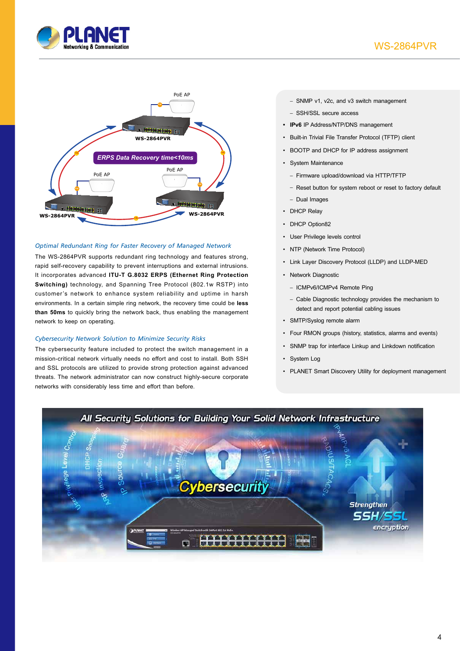



## *Optimal Redundant Ring for Faster Recovery of Managed Network*

The WS-2864PVR supports redundant ring technology and features strong, rapid self-recovery capability to prevent interruptions and external intrusions. It incorporates advanced **ITU-T G.8032 ERPS (Ethernet Ring Protection Switching)** technology, and Spanning Tree Protocol (802.1w RSTP) into customer's network to enhance system reliability and uptime in harsh environments. In a certain simple ring network, the recovery time could be **less than 50ms** to quickly bring the network back, thus enabling the management network to keep on operating.

### *Cybersecurity Network Solution to Minimize Security Risks*

The cybersecurity feature included to protect the switch management in a mission-critical network virtually needs no effort and cost to install. Both SSH and SSL protocols are utilized to provide strong protection against advanced threats. The network administrator can now construct highly-secure corporate networks with considerably less time and effort than before.

- SNMP v1, v2c, and v3 switch management
- SSH/SSL secure access
- **• IPv6** IP Address/NTP/DNS management
- • Built-in Trivial File Transfer Protocol (TFTP) client
- • BOOTP and DHCP for IP address assignment
- • System Maintenance
	- Firmware upload/download via HTTP/TFTP
	- Reset button for system reboot or reset to factory default
	- Dual Images
- DHCP Relay
- DHCP Option82
- • User Privilege levels control
- NTP (Network Time Protocol)
- • Link Layer Discovery Protocol (LLDP) and LLDP-MED
- • Network Diagnostic
	- ICMPv6/ICMPv4 Remote Ping
	- Cable Diagnostic technology provides the mechanism to detect and report potential cabling issues
- • SMTP/Syslog remote alarm
- • Four RMON groups (history, statistics, alarms and events)
- • SNMP trap for interface Linkup and Linkdown notification
- • System Log
- PLANET Smart Discovery Utility for deployment management

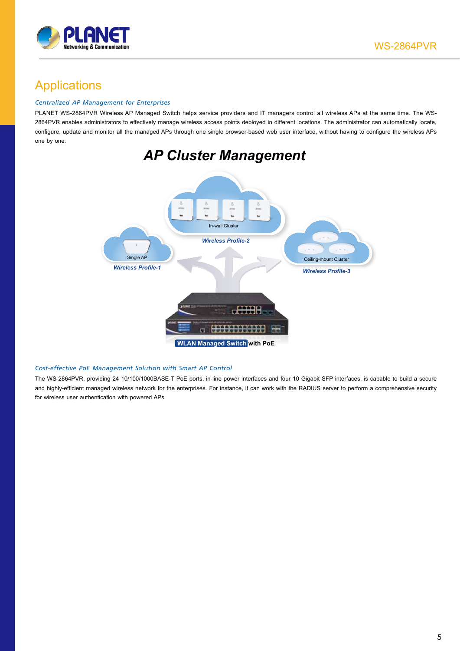

## **Applications**

## *Centralized AP Management for Enterprises*

PLANET WS-2864PVR Wireless AP Managed Switch helps service providers and IT managers control all wireless APs at the same time. The WS-2864PVR enables administrators to effectively manage wireless access points deployed in different locations. The administrator can automatically locate, configure, update and monitor all the managed APs through one single browser-based web user interface, without having to configure the wireless APs one by one.



### *Cost-effective PoE Management Solution with Smart AP Control*

The WS-2864PVR, providing 24 10/100/1000BASE-T PoE ports, in-line power interfaces and four 10 Gigabit SFP interfaces, is capable to build a secure and highly-efficient managed wireless network for the enterprises. For instance, it can work with the RADIUS server to perform a comprehensive security for wireless user authentication with powered APs.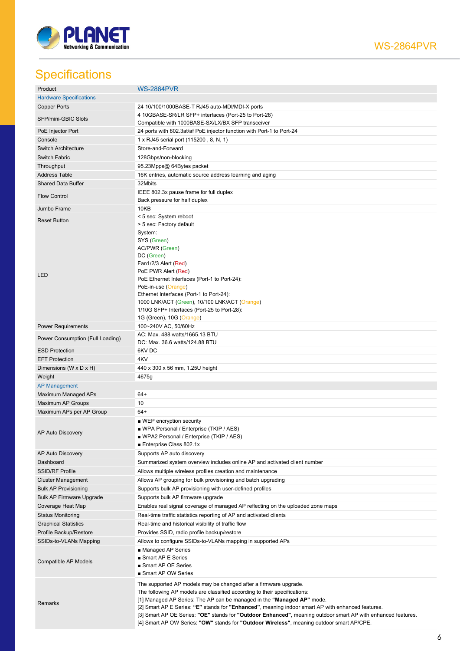

## WS-2864PVR

# **Specifications**

| Product                          | <b>WS-2864PVR</b>                                                                                                                                                                                         |
|----------------------------------|-----------------------------------------------------------------------------------------------------------------------------------------------------------------------------------------------------------|
| <b>Hardware Specifications</b>   |                                                                                                                                                                                                           |
| <b>Copper Ports</b>              | 24 10/100/1000BASE-T RJ45 auto-MDI/MDI-X ports                                                                                                                                                            |
| SFP/mini-GBIC Slots              | 4 10GBASE-SR/LR SFP+ interfaces (Port-25 to Port-28)<br>Compatible with 1000BASE-SX/LX/BX SFP transceiver                                                                                                 |
| PoE Injector Port                | 24 ports with 802.3at/af PoE injector function with Port-1 to Port-24                                                                                                                                     |
| Console                          | 1 x RJ45 serial port (115200, 8, N, 1)                                                                                                                                                                    |
|                                  | Store-and-Forward                                                                                                                                                                                         |
| <b>Switch Architecture</b>       |                                                                                                                                                                                                           |
| Switch Fabric                    | 128Gbps/non-blocking                                                                                                                                                                                      |
| Throughput                       | 95.23Mpps@ 64Bytes packet                                                                                                                                                                                 |
| <b>Address Table</b>             | 16K entries, automatic source address learning and aging                                                                                                                                                  |
| <b>Shared Data Buffer</b>        | 32Mbits                                                                                                                                                                                                   |
| <b>Flow Control</b>              | IEEE 802.3x pause frame for full duplex<br>Back pressure for half duplex                                                                                                                                  |
| Jumbo Frame                      | 10KB                                                                                                                                                                                                      |
| <b>Reset Button</b>              | < 5 sec: System reboot<br>> 5 sec: Factory default                                                                                                                                                        |
|                                  | System:                                                                                                                                                                                                   |
|                                  | SYS (Green)                                                                                                                                                                                               |
|                                  | AC/PWR (Green)                                                                                                                                                                                            |
|                                  | DC (Green)                                                                                                                                                                                                |
|                                  | Fan1/2/3 Alert (Red)                                                                                                                                                                                      |
|                                  | PoE PWR Alert (Red)                                                                                                                                                                                       |
| LED                              | PoE Ethernet Interfaces (Port-1 to Port-24):                                                                                                                                                              |
|                                  | PoE-in-use (Orange)                                                                                                                                                                                       |
|                                  | Ethernet Interfaces (Port-1 to Port-24):                                                                                                                                                                  |
|                                  | 1000 LNK/ACT (Green), 10/100 LNK/ACT (Orange)                                                                                                                                                             |
|                                  | 1/10G SFP+ Interfaces (Port-25 to Port-28):                                                                                                                                                               |
|                                  | 1G (Green), 10G (Orange)                                                                                                                                                                                  |
| <b>Power Requirements</b>        | 100~240V AC, 50/60Hz                                                                                                                                                                                      |
| Power Consumption (Full Loading) | AC: Max. 488 watts/1665.13 BTU<br>DC: Max. 36.6 watts/124.88 BTU                                                                                                                                          |
| <b>ESD Protection</b>            | 6KV DC                                                                                                                                                                                                    |
| <b>EFT Protection</b>            | 4KV                                                                                                                                                                                                       |
|                                  | 440 x 300 x 56 mm, 1.25U height                                                                                                                                                                           |
|                                  |                                                                                                                                                                                                           |
| Dimensions (W x D x H)           |                                                                                                                                                                                                           |
| Weight                           | 4675g                                                                                                                                                                                                     |
| <b>AP Management</b>             |                                                                                                                                                                                                           |
| Maximum Managed APs              | $64+$                                                                                                                                                                                                     |
| Maximum AP Groups                | 10                                                                                                                                                                                                        |
| Maximum APs per AP Group         | $64+$                                                                                                                                                                                                     |
|                                  | ■ WEP encryption security                                                                                                                                                                                 |
| AP Auto Discovery                | ■ WPA Personal / Enterprise (TKIP / AES)                                                                                                                                                                  |
|                                  | ■ WPA2 Personal / Enterprise (TKIP / AES)<br>■ Enterprise Class 802.1x                                                                                                                                    |
|                                  |                                                                                                                                                                                                           |
| AP Auto Discovery<br>Dashboard   | Supports AP auto discovery                                                                                                                                                                                |
|                                  | Summarized system overview includes online AP and activated client number                                                                                                                                 |
| <b>SSID/RF Profile</b>           | Allows multiple wireless profiles creation and maintenance                                                                                                                                                |
| <b>Cluster Management</b>        | Allows AP grouping for bulk provisioning and batch upgrading                                                                                                                                              |
| <b>Bulk AP Provisioning</b>      | Supports bulk AP provisioning with user-defined profiles                                                                                                                                                  |
| <b>Bulk AP Firmware Upgrade</b>  | Supports bulk AP firmware upgrade                                                                                                                                                                         |
| Coverage Heat Map                | Enables real signal coverage of managed AP reflecting on the uploaded zone maps                                                                                                                           |
| <b>Status Monitoring</b>         | Real-time traffic statistics reporting of AP and activated clients                                                                                                                                        |
| <b>Graphical Statistics</b>      | Real-time and historical visibility of traffic flow                                                                                                                                                       |
| Profile Backup/Restore           | Provides SSID, radio profile backup/restore                                                                                                                                                               |
| SSIDs-to-VLANs Mapping           | Allows to configure SSIDs-to-VLANs mapping in supported APs                                                                                                                                               |
|                                  | ■ Managed AP Series                                                                                                                                                                                       |
| Compatible AP Models             | ■ Smart AP E Series                                                                                                                                                                                       |
|                                  | Smart AP OE Series                                                                                                                                                                                        |
|                                  | Smart AP OW Series                                                                                                                                                                                        |
|                                  | The supported AP models may be changed after a firmware upgrade.                                                                                                                                          |
|                                  | The following AP models are classified according to their specifications:                                                                                                                                 |
| Remarks                          | [1] Managed AP Series: The AP can be managed in the "Managed AP" mode.                                                                                                                                    |
|                                  | [2] Smart AP E Series: "E" stands for "Enhanced", meaning indoor smart AP with enhanced features.                                                                                                         |
|                                  | [3] Smart AP OE Series: "OE" stands for "Outdoor Enhanced", meaning outdoor smart AP with enhanced features.<br>[4] Smart AP OW Series: "OW" stands for "Outdoor Wireless", meaning outdoor smart AP/CPE. |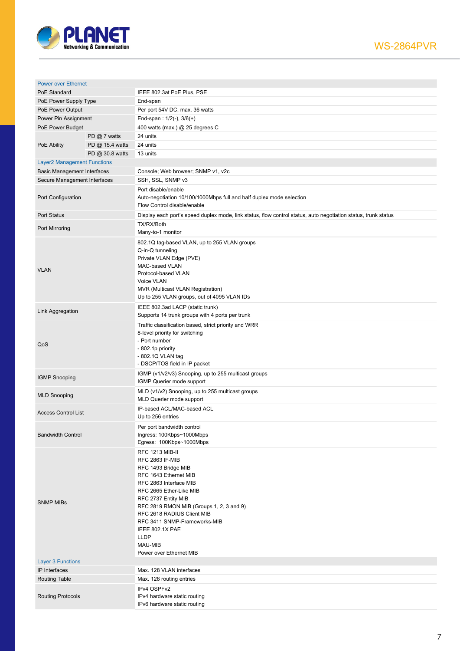

| <b>Power over Ethernet</b>         |                 |                                                                                                                                                                                                                                                                                                                                                                |
|------------------------------------|-----------------|----------------------------------------------------------------------------------------------------------------------------------------------------------------------------------------------------------------------------------------------------------------------------------------------------------------------------------------------------------------|
| PoE Standard                       |                 | IEEE 802.3at PoE Plus, PSE                                                                                                                                                                                                                                                                                                                                     |
| PoE Power Supply Type              |                 | End-span                                                                                                                                                                                                                                                                                                                                                       |
| PoE Power Output                   |                 | Per port 54V DC, max. 36 watts                                                                                                                                                                                                                                                                                                                                 |
| Power Pin Assignment               |                 | End-span: $1/2(-)$ , $3/6(+)$                                                                                                                                                                                                                                                                                                                                  |
| PoE Power Budget                   |                 | 400 watts (max.) @ 25 degrees C                                                                                                                                                                                                                                                                                                                                |
|                                    | PD @ 7 watts    | 24 units                                                                                                                                                                                                                                                                                                                                                       |
| PoE Ability                        | PD @ 15.4 watts | 24 units                                                                                                                                                                                                                                                                                                                                                       |
|                                    | PD @ 30.8 watts | 13 units                                                                                                                                                                                                                                                                                                                                                       |
| <b>Layer2 Management Functions</b> |                 |                                                                                                                                                                                                                                                                                                                                                                |
| <b>Basic Management Interfaces</b> |                 | Console; Web browser; SNMP v1, v2c                                                                                                                                                                                                                                                                                                                             |
| Secure Management Interfaces       |                 | SSH, SSL, SNMP v3                                                                                                                                                                                                                                                                                                                                              |
| Port Configuration                 |                 | Port disable/enable<br>Auto-negotiation 10/100/1000Mbps full and half duplex mode selection<br>Flow Control disable/enable                                                                                                                                                                                                                                     |
| <b>Port Status</b>                 |                 | Display each port's speed duplex mode, link status, flow control status, auto negotiation status, trunk status                                                                                                                                                                                                                                                 |
|                                    |                 | TX/RX/Both                                                                                                                                                                                                                                                                                                                                                     |
| Port Mirroring                     |                 | Many-to-1 monitor                                                                                                                                                                                                                                                                                                                                              |
| <b>VLAN</b>                        |                 | 802.1Q tag-based VLAN, up to 255 VLAN groups<br>Q-in-Q tunneling<br>Private VLAN Edge (PVE)<br>MAC-based VLAN<br>Protocol-based VLAN<br>Voice VLAN<br>MVR (Multicast VLAN Registration)<br>Up to 255 VLAN groups, out of 4095 VLAN IDs                                                                                                                         |
| Link Aggregation                   |                 | IEEE 802.3ad LACP (static trunk)<br>Supports 14 trunk groups with 4 ports per trunk                                                                                                                                                                                                                                                                            |
| QoS                                |                 | Traffic classification based, strict priority and WRR<br>8-level priority for switching<br>- Port number<br>- 802.1p priority<br>- 802.1Q VLAN tag<br>- DSCP/TOS field in IP packet                                                                                                                                                                            |
| <b>IGMP Snooping</b>               |                 | IGMP (v1/v2/v3) Snooping, up to 255 multicast groups<br>IGMP Querier mode support                                                                                                                                                                                                                                                                              |
| <b>MLD Snooping</b>                |                 | MLD (v1/v2) Snooping, up to 255 multicast groups<br>MLD Querier mode support                                                                                                                                                                                                                                                                                   |
| <b>Access Control List</b>         |                 | IP-based ACL/MAC-based ACL<br>Up to 256 entries                                                                                                                                                                                                                                                                                                                |
| <b>Bandwidth Control</b>           |                 | Per port bandwidth control<br>Ingress: 100Kbps~1000Mbps<br>Egress: 100Kbps~1000Mbps                                                                                                                                                                                                                                                                            |
| <b>SNMP MIBs</b>                   |                 | <b>RFC 1213 MIB-II</b><br><b>RFC 2863 IF-MIB</b><br>RFC 1493 Bridge MIB<br>RFC 1643 Ethernet MIB<br>RFC 2863 Interface MIB<br>RFC 2665 Ether-Like MIB<br>RFC 2737 Entity MIB<br>RFC 2819 RMON MIB (Groups 1, 2, 3 and 9)<br>RFC 2618 RADIUS Client MIB<br>RFC 3411 SNMP-Frameworks-MIB<br>IEEE 802.1X PAE<br><b>LLDP</b><br>MAU-MIB<br>Power over Ethernet MIB |
| <b>Layer 3 Functions</b>           |                 |                                                                                                                                                                                                                                                                                                                                                                |
| IP Interfaces                      |                 | Max. 128 VLAN interfaces                                                                                                                                                                                                                                                                                                                                       |
| <b>Routing Table</b>               |                 | Max. 128 routing entries                                                                                                                                                                                                                                                                                                                                       |
| <b>Routing Protocols</b>           |                 | IPv4 OSPFv2<br>IPv4 hardware static routing<br>IPv6 hardware static routing                                                                                                                                                                                                                                                                                    |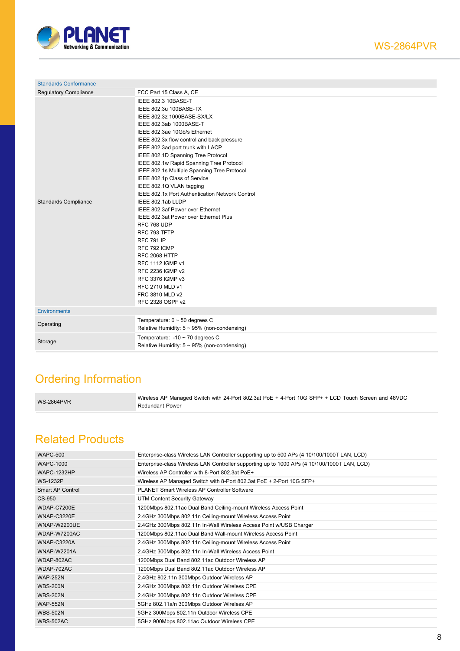

| <b>Standards Conformance</b> |                                                   |  |
|------------------------------|---------------------------------------------------|--|
| <b>Requlatory Compliance</b> | FCC Part 15 Class A, CE                           |  |
|                              | IEEE 802.3 10BASE-T                               |  |
|                              | IEEE 802.3u 100BASE-TX                            |  |
|                              | IEEE 802.3z 1000BASE-SX/LX                        |  |
|                              | IEEE 802.3ab 1000BASE-T                           |  |
|                              | IEEE 802.3ae 10Gb/s Ethernet                      |  |
|                              | IEEE 802.3x flow control and back pressure        |  |
|                              | IEEE 802.3ad port trunk with LACP                 |  |
|                              | IEEE 802.1D Spanning Tree Protocol                |  |
|                              | IEEE 802.1w Rapid Spanning Tree Protocol          |  |
|                              | IEEE 802.1s Multiple Spanning Tree Protocol       |  |
|                              | IEEE 802.1p Class of Service                      |  |
|                              | IEEE 802.1Q VLAN tagging                          |  |
|                              | IEEE 802.1x Port Authentication Network Control   |  |
| <b>Standards Compliance</b>  | IEEE 802.1ab LLDP                                 |  |
|                              | IEEE 802.3af Power over Ethernet                  |  |
|                              | IEEE 802.3at Power over Ethernet Plus             |  |
|                              | RFC 768 UDP                                       |  |
|                              | RFC 793 TFTP                                      |  |
|                              | <b>RFC 791 IP</b>                                 |  |
|                              | RFC 792 ICMP                                      |  |
|                              | <b>RFC 2068 HTTP</b>                              |  |
|                              | RFC 1112 IGMP v1                                  |  |
|                              | RFC 2236 IGMP v2                                  |  |
|                              | RFC 3376 IGMP v3                                  |  |
|                              | RFC 2710 MLD v1                                   |  |
|                              | FRC 3810 MLD v2                                   |  |
|                              | RFC 2328 OSPF v2                                  |  |
| <b>Environments</b>          |                                                   |  |
| Operating                    | Temperature: $0 \sim 50$ degrees C                |  |
|                              | Relative Humidity: $5 \sim 95\%$ (non-condensing) |  |
| Storage                      | Temperature: $-10 \sim 70$ degrees C              |  |
|                              | Relative Humidity: $5 \sim 95\%$ (non-condensing) |  |

# Ordering Information

Wireless AP Managed Switch with 24-Port 802.3at PoE + 4-Port 10G SFP+ + LCD Touch Screen and 48VDC<br>
Note that Research Screen and ABVDC Redundant Power

## Related Products

| <b>WAPC-500</b>     | Enterprise-class Wireless LAN Controller supporting up to 500 APs (4 10/100/1000T LAN, LCD)  |
|---------------------|----------------------------------------------------------------------------------------------|
| <b>WAPC-1000</b>    | Enterprise-class Wireless LAN Controller supporting up to 1000 APs (4 10/100/1000T LAN, LCD) |
| <b>WAPC-1232HP</b>  | Wireless AP Controller with 8-Port 802.3at PoE+                                              |
| <b>WS-1232P</b>     | Wireless AP Managed Switch with 8-Port 802.3at PoE + 2-Port 10G SFP+                         |
| Smart AP Control    | PLANET Smart Wireless AP Controller Software                                                 |
| CS-950              | UTM Content Security Gateway                                                                 |
| WDAP-C7200E         | 1200Mbps 802.11ac Dual Band Ceiling-mount Wireless Access Point                              |
| WNAP-C3220E         | 2.4GHz 300Mbps 802.11n Ceiling-mount Wireless Access Point                                   |
| <b>WNAP-W2200UE</b> | 2.4GHz 300Mbps 802.11n In-Wall Wireless Access Point w/USB Charger                           |
| WDAP-W7200AC        | 1200Mbps 802.11ac Dual Band Wall-mount Wireless Access Point                                 |
| WNAP-C3220A         | 2.4GHz 300Mbps 802.11n Ceiling-mount Wireless Access Point                                   |
| <b>WNAP-W2201A</b>  | 2.4GHz 300Mbps 802.11n In-Wall Wireless Access Point                                         |
| WDAP-802AC          | 1200Mbps Dual Band 802.11ac Outdoor Wireless AP                                              |
| WDAP-702AC          | 1200Mbps Dual Band 802.11ac Outdoor Wireless AP                                              |
| <b>WAP-252N</b>     | 2.4GHz 802.11n 300Mbps Outdoor Wireless AP                                                   |
| <b>WBS-200N</b>     | 2.4GHz 300Mbps 802.11n Outdoor Wireless CPE                                                  |
| <b>WBS-202N</b>     | 2.4GHz 300Mbps 802.11n Outdoor Wireless CPE                                                  |
| <b>WAP-552N</b>     | 5GHz 802.11a/n 300Mbps Outdoor Wireless AP                                                   |
| <b>WBS-502N</b>     | 5GHz 300Mbps 802.11n Outdoor Wireless CPE                                                    |
| <b>WBS-502AC</b>    | 5GHz 900Mbps 802.11ac Outdoor Wireless CPE                                                   |